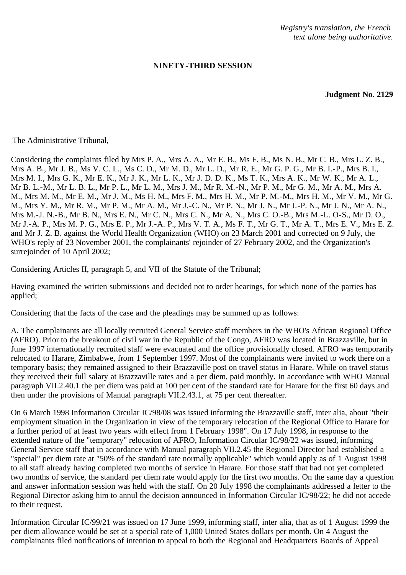*Registry's translation, the French text alone being authoritative.*

## **NINETY-THIRD SESSION**

**Judgment No. 2129**

The Administrative Tribunal,

Considering the complaints filed by Mrs P. A., Mrs A. A., Mr E. B., Ms F. B., Ms N. B., Mr C. B., Mrs L. Z. B., Mrs A. B., Mr J. B., Ms V. C. L., Ms C. D., Mr M. D., Mr L. D., Mr R. E., Mr G. P. G., Mr B. I.-P., Mrs B. I., Mrs M. I., Mrs G. K., Mr E. K., Mr J. K., Mr L. K., Mr J. D. D. K., Ms T. K., Mrs A. K., Mr W. K., Mr A. L., Mr B. L.-M., Mr L. B. L., Mr P. L., Mr L. M., Mrs J. M., Mr R. M.-N., Mr P. M., Mr G. M., Mr A. M., Mrs A. M., Mrs M. M., Mr E. M., Mr J. M., Ms H. M., Mrs F. M., Mrs H. M., Mr P. M.-M., Mrs H. M., Mr V. M., Mr G. M., Mrs Y. M., Mr R. M., Mr P. M., Mr A. M., Mr J.-C. N., Mr P. N., Mr J. N., Mr J.-P. N., Mr J. N., Mr A. N., Mrs M.-J. N.-B., Mr B. N., Mrs E. N., Mr C. N., Mrs C. N., Mr A. N., Mrs C. O.-B., Mrs M.-L. O-S., Mr D. O., Mr J.-A. P., Mrs M. P. G., Mrs E. P., Mr J.-A. P., Mrs V. T. A., Ms F. T., Mr G. T., Mr A. T., Mrs E. V., Mrs E. Z. and Mr J. Z. B. against the World Health Organization (WHO) on 23 March 2001 and corrected on 9 July, the WHO's reply of 23 November 2001, the complainants' rejoinder of 27 February 2002, and the Organization's surrejoinder of 10 April 2002;

Considering Articles II, paragraph 5, and VII of the Statute of the Tribunal;

Having examined the written submissions and decided not to order hearings, for which none of the parties has applied;

Considering that the facts of the case and the pleadings may be summed up as follows:

A. The complainants are all locally recruited General Service staff members in the WHO's African Regional Office (AFRO). Prior to the breakout of civil war in the Republic of the Congo, AFRO was located in Brazzaville, but in June 1997 internationally recruited staff were evacuated and the office provisionally closed. AFRO was temporarily relocated to Harare, Zimbabwe, from 1 September 1997. Most of the complainants were invited to work there on a temporary basis; they remained assigned to their Brazzaville post on travel status in Harare. While on travel status they received their full salary at Brazzaville rates and a per diem, paid monthly. In accordance with WHO Manual paragraph VII.2.40.1 the per diem was paid at 100 per cent of the standard rate for Harare for the first 60 days and then under the provisions of Manual paragraph VII.2.43.1, at 75 per cent thereafter.

On 6 March 1998 Information Circular IC/98/08 was issued informing the Brazzaville staff, inter alia, about "their employment situation in the Organization in view of the temporary relocation of the Regional Office to Harare for a further period of at least two years with effect from 1 February 1998". On 17 July 1998, in response to the extended nature of the "temporary" relocation of AFRO, Information Circular IC/98/22 was issued, informing General Service staff that in accordance with Manual paragraph VII.2.45 the Regional Director had established a "special" per diem rate at "50% of the standard rate normally applicable" which would apply as of 1 August 1998 to all staff already having completed two months of service in Harare. For those staff that had not yet completed two months of service, the standard per diem rate would apply for the first two months. On the same day a question and answer information session was held with the staff. On 20 July 1998 the complainants addressed a letter to the Regional Director asking him to annul the decision announced in Information Circular IC/98/22; he did not accede to their request.

Information Circular IC/99/21 was issued on 17 June 1999, informing staff, inter alia, that as of 1 August 1999 the per diem allowance would be set at a special rate of 1,000 United States dollars per month. On 4 August the complainants filed notifications of intention to appeal to both the Regional and Headquarters Boards of Appeal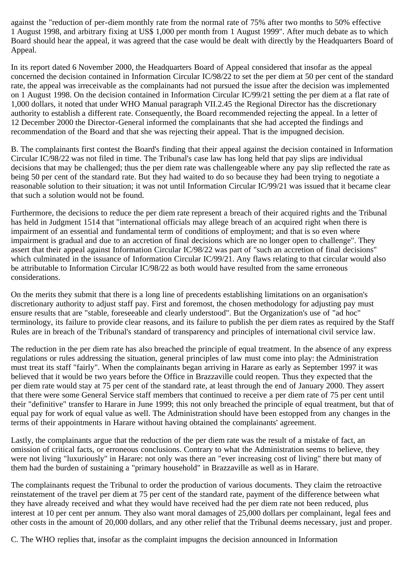against the "reduction of per-diem monthly rate from the normal rate of 75% after two months to 50% effective 1 August 1998, and arbitrary fixing at US\$ 1,000 per month from 1 August 1999". After much debate as to which Board should hear the appeal, it was agreed that the case would be dealt with directly by the Headquarters Board of Appeal.

In its report dated 6 November 2000, the Headquarters Board of Appeal considered that insofar as the appeal concerned the decision contained in Information Circular IC/98/22 to set the per diem at 50 per cent of the standard rate, the appeal was irreceivable as the complainants had not pursued the issue after the decision was implemented on 1 August 1998. On the decision contained in Information Circular IC/99/21 setting the per diem at a flat rate of 1,000 dollars, it noted that under WHO Manual paragraph VII.2.45 the Regional Director has the discretionary authority to establish a different rate. Consequently, the Board recommended rejecting the appeal. In a letter of 12 December 2000 the Director-General informed the complainants that she had accepted the findings and recommendation of the Board and that she was rejecting their appeal. That is the impugned decision.

B. The complainants first contest the Board's finding that their appeal against the decision contained in Information Circular IC/98/22 was not filed in time. The Tribunal's case law has long held that pay slips are individual decisions that may be challenged; thus the per diem rate was challengeable where any pay slip reflected the rate as being 50 per cent of the standard rate. But they had waited to do so because they had been trying to negotiate a reasonable solution to their situation; it was not until Information Circular IC/99/21 was issued that it became clear that such a solution would not be found.

Furthermore, the decisions to reduce the per diem rate represent a breach of their acquired rights and the Tribunal has held in Judgment 1514 that "international officials may allege breach of an acquired right when there is impairment of an essential and fundamental term of conditions of employment; and that is so even where impairment is gradual and due to an accretion of final decisions which are no longer open to challenge". They assert that their appeal against Information Circular IC/98/22 was part of "such an accretion of final decisions" which culminated in the issuance of Information Circular IC/99/21. Any flaws relating to that circular would also be attributable to Information Circular IC/98/22 as both would have resulted from the same erroneous considerations.

On the merits they submit that there is a long line of precedents establishing limitations on an organisation's discretionary authority to adjust staff pay. First and foremost, the chosen methodology for adjusting pay must ensure results that are "stable, foreseeable and clearly understood". But the Organization's use of "ad hoc" terminology, its failure to provide clear reasons, and its failure to publish the per diem rates as required by the Staff Rules are in breach of the Tribunal's standard of transparency and principles of international civil service law.

The reduction in the per diem rate has also breached the principle of equal treatment. In the absence of any express regulations or rules addressing the situation, general principles of law must come into play: the Administration must treat its staff "fairly". When the complainants began arriving in Harare as early as September 1997 it was believed that it would be two years before the Office in Brazzaville could reopen. Thus they expected that the per diem rate would stay at 75 per cent of the standard rate, at least through the end of January 2000. They assert that there were some General Service staff members that continued to receive a per diem rate of 75 per cent until their "definitive" transfer to Harare in June 1999; this not only breached the principle of equal treatment, but that of equal pay for work of equal value as well. The Administration should have been estopped from any changes in the terms of their appointments in Harare without having obtained the complainants' agreement.

Lastly, the complainants argue that the reduction of the per diem rate was the result of a mistake of fact, an omission of critical facts, or erroneous conclusions. Contrary to what the Administration seems to believe, they were not living "luxuriously" in Harare: not only was there an "ever increasing cost of living" there but many of them had the burden of sustaining a "primary household" in Brazzaville as well as in Harare.

The complainants request the Tribunal to order the production of various documents. They claim the retroactive reinstatement of the travel per diem at 75 per cent of the standard rate, payment of the difference between what they have already received and what they would have received had the per diem rate not been reduced, plus interest at 10 per cent per annum. They also want moral damages of 25,000 dollars per complainant, legal fees and other costs in the amount of 20,000 dollars, and any other relief that the Tribunal deems necessary, just and proper.

C. The WHO replies that, insofar as the complaint impugns the decision announced in Information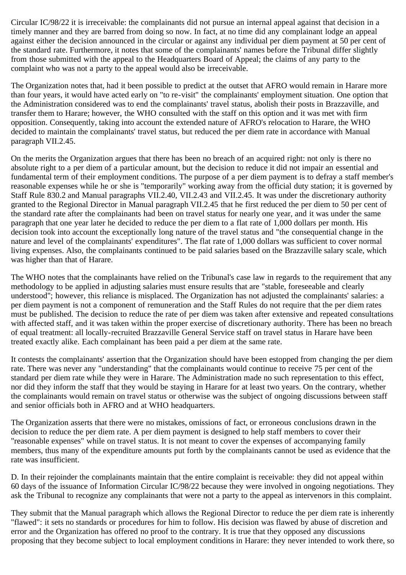Circular IC/98/22 it is irreceivable: the complainants did not pursue an internal appeal against that decision in a timely manner and they are barred from doing so now. In fact, at no time did any complainant lodge an appeal against either the decision announced in the circular or against any individual per diem payment at 50 per cent of the standard rate. Furthermore, it notes that some of the complainants' names before the Tribunal differ slightly from those submitted with the appeal to the Headquarters Board of Appeal; the claims of any party to the complaint who was not a party to the appeal would also be irreceivable.

The Organization notes that, had it been possible to predict at the outset that AFRO would remain in Harare more than four years, it would have acted early on "to re-visit" the complainants' employment situation. One option that the Administration considered was to end the complainants' travel status, abolish their posts in Brazzaville, and transfer them to Harare; however, the WHO consulted with the staff on this option and it was met with firm opposition. Consequently, taking into account the extended nature of AFRO's relocation to Harare, the WHO decided to maintain the complainants' travel status, but reduced the per diem rate in accordance with Manual paragraph VII.2.45.

On the merits the Organization argues that there has been no breach of an acquired right: not only is there no absolute right to a per diem of a particular amount, but the decision to reduce it did not impair an essential and fundamental term of their employment conditions. The purpose of a per diem payment is to defray a staff member's reasonable expenses while he or she is "temporarily" working away from the official duty station; it is governed by Staff Rule 830.2 and Manual paragraphs VII.2.40, VII.2.43 and VII.2.45. It was under the discretionary authority granted to the Regional Director in Manual paragraph VII.2.45 that he first reduced the per diem to 50 per cent of the standard rate after the complainants had been on travel status for nearly one year, and it was under the same paragraph that one year later he decided to reduce the per diem to a flat rate of 1,000 dollars per month. His decision took into account the exceptionally long nature of the travel status and "the consequential change in the nature and level of the complainants' expenditures". The flat rate of 1,000 dollars was sufficient to cover normal living expenses. Also, the complainants continued to be paid salaries based on the Brazzaville salary scale, which was higher than that of Harare.

The WHO notes that the complainants have relied on the Tribunal's case law in regards to the requirement that any methodology to be applied in adjusting salaries must ensure results that are "stable, foreseeable and clearly understood"; however, this reliance is misplaced. The Organization has not adjusted the complainants' salaries: a per diem payment is not a component of remuneration and the Staff Rules do not require that the per diem rates must be published. The decision to reduce the rate of per diem was taken after extensive and repeated consultations with affected staff, and it was taken within the proper exercise of discretionary authority. There has been no breach of equal treatment: all locally-recruited Brazzaville General Service staff on travel status in Harare have been treated exactly alike. Each complainant has been paid a per diem at the same rate.

It contests the complainants' assertion that the Organization should have been estopped from changing the per diem rate. There was never any "understanding" that the complainants would continue to receive 75 per cent of the standard per diem rate while they were in Harare. The Administration made no such representation to this effect, nor did they inform the staff that they would be staying in Harare for at least two years. On the contrary, whether the complainants would remain on travel status or otherwise was the subject of ongoing discussions between staff and senior officials both in AFRO and at WHO headquarters.

The Organization asserts that there were no mistakes, omissions of fact, or erroneous conclusions drawn in the decision to reduce the per diem rate. A per diem payment is designed to help staff members to cover their "reasonable expenses" while on travel status. It is not meant to cover the expenses of accompanying family members, thus many of the expenditure amounts put forth by the complainants cannot be used as evidence that the rate was insufficient.

D. In their rejoinder the complainants maintain that the entire complaint is receivable: they did not appeal within 60 days of the issuance of Information Circular IC/98/22 because they were involved in ongoing negotiations. They ask the Tribunal to recognize any complainants that were not a party to the appeal as intervenors in this complaint.

They submit that the Manual paragraph which allows the Regional Director to reduce the per diem rate is inherently "flawed": it sets no standards or procedures for him to follow. His decision was flawed by abuse of discretion and error and the Organization has offered no proof to the contrary. It is true that they opposed any discussions proposing that they become subject to local employment conditions in Harare: they never intended to work there, so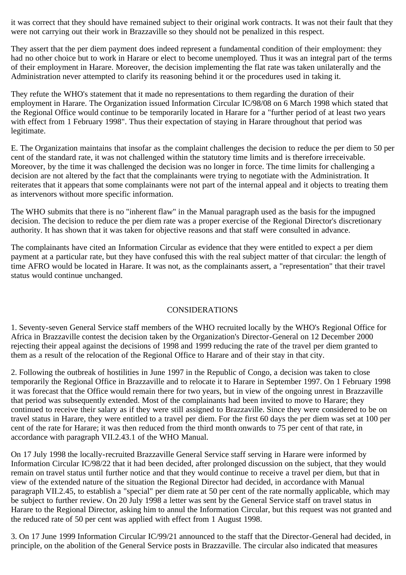it was correct that they should have remained subject to their original work contracts. It was not their fault that they were not carrying out their work in Brazzaville so they should not be penalized in this respect.

They assert that the per diem payment does indeed represent a fundamental condition of their employment: they had no other choice but to work in Harare or elect to become unemployed. Thus it was an integral part of the terms of their employment in Harare. Moreover, the decision implementing the flat rate was taken unilaterally and the Administration never attempted to clarify its reasoning behind it or the procedures used in taking it.

They refute the WHO's statement that it made no representations to them regarding the duration of their employment in Harare. The Organization issued Information Circular IC/98/08 on 6 March 1998 which stated that the Regional Office would continue to be temporarily located in Harare for a "further period of at least two years with effect from 1 February 1998". Thus their expectation of staying in Harare throughout that period was legitimate.

E. The Organization maintains that insofar as the complaint challenges the decision to reduce the per diem to 50 per cent of the standard rate, it was not challenged within the statutory time limits and is therefore irreceivable. Moreover, by the time it was challenged the decision was no longer in force. The time limits for challenging a decision are not altered by the fact that the complainants were trying to negotiate with the Administration. It reiterates that it appears that some complainants were not part of the internal appeal and it objects to treating them as intervenors without more specific information.

The WHO submits that there is no "inherent flaw" in the Manual paragraph used as the basis for the impugned decision. The decision to reduce the per diem rate was a proper exercise of the Regional Director's discretionary authority. It has shown that it was taken for objective reasons and that staff were consulted in advance.

The complainants have cited an Information Circular as evidence that they were entitled to expect a per diem payment at a particular rate, but they have confused this with the real subject matter of that circular: the length of time AFRO would be located in Harare. It was not, as the complainants assert, a "representation" that their travel status would continue unchanged.

## CONSIDERATIONS

1. Seventy-seven General Service staff members of the WHO recruited locally by the WHO's Regional Office for Africa in Brazzaville contest the decision taken by the Organization's Director-General on 12 December 2000 rejecting their appeal against the decisions of 1998 and 1999 reducing the rate of the travel per diem granted to them as a result of the relocation of the Regional Office to Harare and of their stay in that city.

2. Following the outbreak of hostilities in June 1997 in the Republic of Congo, a decision was taken to close temporarily the Regional Office in Brazzaville and to relocate it to Harare in September 1997. On 1 February 1998 it was forecast that the Office would remain there for two years, but in view of the ongoing unrest in Brazzaville that period was subsequently extended. Most of the complainants had been invited to move to Harare; they continued to receive their salary as if they were still assigned to Brazzaville. Since they were considered to be on travel status in Harare, they were entitled to a travel per diem. For the first 60 days the per diem was set at 100 per cent of the rate for Harare; it was then reduced from the third month onwards to 75 per cent of that rate, in accordance with paragraph VII.2.43.1 of the WHO Manual.

On 17 July 1998 the locally-recruited Brazzaville General Service staff serving in Harare were informed by Information Circular IC/98/22 that it had been decided, after prolonged discussion on the subject, that they would remain on travel status until further notice and that they would continue to receive a travel per diem, but that in view of the extended nature of the situation the Regional Director had decided, in accordance with Manual paragraph VII.2.45, to establish a "special" per diem rate at 50 per cent of the rate normally applicable, which may be subject to further review. On 20 July 1998 a letter was sent by the General Service staff on travel status in Harare to the Regional Director, asking him to annul the Information Circular, but this request was not granted and the reduced rate of 50 per cent was applied with effect from 1 August 1998.

3. On 17 June 1999 Information Circular IC/99/21 announced to the staff that the Director-General had decided, in principle, on the abolition of the General Service posts in Brazzaville. The circular also indicated that measures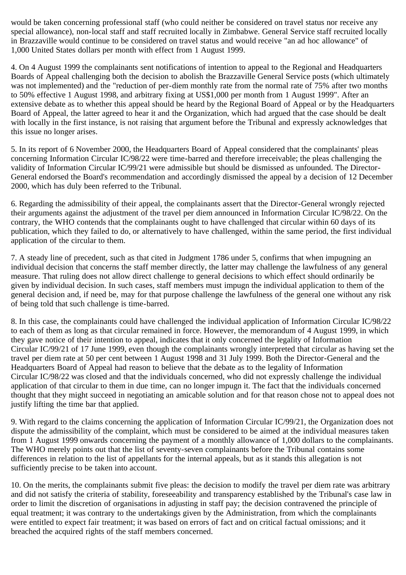would be taken concerning professional staff (who could neither be considered on travel status nor receive any special allowance), non-local staff and staff recruited locally in Zimbabwe. General Service staff recruited locally in Brazzaville would continue to be considered on travel status and would receive "an ad hoc allowance" of 1,000 United States dollars per month with effect from 1 August 1999.

4. On 4 August 1999 the complainants sent notifications of intention to appeal to the Regional and Headquarters Boards of Appeal challenging both the decision to abolish the Brazzaville General Service posts (which ultimately was not implemented) and the "reduction of per-diem monthly rate from the normal rate of 75% after two months to 50% effective 1 August 1998, and arbitrary fixing at US\$1,000 per month from 1 August 1999". After an extensive debate as to whether this appeal should be heard by the Regional Board of Appeal or by the Headquarters Board of Appeal, the latter agreed to hear it and the Organization, which had argued that the case should be dealt with locally in the first instance, is not raising that argument before the Tribunal and expressly acknowledges that this issue no longer arises.

5. In its report of 6 November 2000, the Headquarters Board of Appeal considered that the complainants' pleas concerning Information Circular IC/98/22 were time-barred and therefore irreceivable; the pleas challenging the validity of Information Circular IC/99/21 were admissible but should be dismissed as unfounded. The Director-General endorsed the Board's recommendation and accordingly dismissed the appeal by a decision of 12 December 2000, which has duly been referred to the Tribunal.

6. Regarding the admissibility of their appeal, the complainants assert that the Director-General wrongly rejected their arguments against the adjustment of the travel per diem announced in Information Circular IC/98/22. On the contrary, the WHO contends that the complainants ought to have challenged that circular within 60 days of its publication, which they failed to do, or alternatively to have challenged, within the same period, the first individual application of the circular to them.

7. A steady line of precedent, such as that cited in Judgment 1786 under 5, confirms that when impugning an individual decision that concerns the staff member directly, the latter may challenge the lawfulness of any general measure. That ruling does not allow direct challenge to general decisions to which effect should ordinarily be given by individual decision. In such cases, staff members must impugn the individual application to them of the general decision and, if need be, may for that purpose challenge the lawfulness of the general one without any risk of being told that such challenge is time-barred.

8. In this case, the complainants could have challenged the individual application of Information Circular IC/98/22 to each of them as long as that circular remained in force. However, the memorandum of 4 August 1999, in which they gave notice of their intention to appeal, indicates that it only concerned the legality of Information Circular IC/99/21 of 17 June 1999, even though the complainants wrongly interpreted that circular as having set the travel per diem rate at 50 per cent between 1 August 1998 and 31 July 1999. Both the Director-General and the Headquarters Board of Appeal had reason to believe that the debate as to the legality of Information Circular IC/98/22 was closed and that the individuals concerned, who did not expressly challenge the individual application of that circular to them in due time, can no longer impugn it. The fact that the individuals concerned thought that they might succeed in negotiating an amicable solution and for that reason chose not to appeal does not justify lifting the time bar that applied.

9. With regard to the claims concerning the application of Information Circular IC/99/21, the Organization does not dispute the admissibility of the complaint, which must be considered to be aimed at the individual measures taken from 1 August 1999 onwards concerning the payment of a monthly allowance of 1,000 dollars to the complainants. The WHO merely points out that the list of seventy-seven complainants before the Tribunal contains some differences in relation to the list of appellants for the internal appeals, but as it stands this allegation is not sufficiently precise to be taken into account.

10. On the merits, the complainants submit five pleas: the decision to modify the travel per diem rate was arbitrary and did not satisfy the criteria of stability, foreseeability and transparency established by the Tribunal's case law in order to limit the discretion of organisations in adjusting in staff pay; the decision contravened the principle of equal treatment; it was contrary to the undertakings given by the Administration, from which the complainants were entitled to expect fair treatment; it was based on errors of fact and on critical factual omissions; and it breached the acquired rights of the staff members concerned.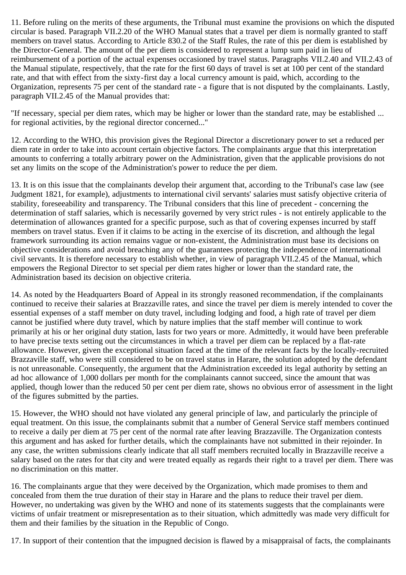11. Before ruling on the merits of these arguments, the Tribunal must examine the provisions on which the disputed circular is based. Paragraph VII.2.20 of the WHO Manual states that a travel per diem is normally granted to staff members on travel status. According to Article 830.2 of the Staff Rules, the rate of this per diem is established by the Director-General. The amount of the per diem is considered to represent a lump sum paid in lieu of reimbursement of a portion of the actual expenses occasioned by travel status. Paragraphs VII.2.40 and VII.2.43 of the Manual stipulate, respectively, that the rate for the first 60 days of travel is set at 100 per cent of the standard rate, and that with effect from the sixty-first day a local currency amount is paid, which, according to the Organization, represents 75 per cent of the standard rate - a figure that is not disputed by the complainants. Lastly, paragraph VII.2.45 of the Manual provides that:

"If necessary, special per diem rates, which may be higher or lower than the standard rate, may be established ... for regional activities, by the regional director concerned..."

12. According to the WHO, this provision gives the Regional Director a discretionary power to set a reduced per diem rate in order to take into account certain objective factors. The complainants argue that this interpretation amounts to conferring a totally arbitrary power on the Administration, given that the applicable provisions do not set any limits on the scope of the Administration's power to reduce the per diem.

13. It is on this issue that the complainants develop their argument that, according to the Tribunal's case law (see Judgment 1821, for example), adjustments to international civil servants' salaries must satisfy objective criteria of stability, foreseeability and transparency. The Tribunal considers that this line of precedent - concerning the determination of staff salaries, which is necessarily governed by very strict rules - is not entirely applicable to the determination of allowances granted for a specific purpose, such as that of covering expenses incurred by staff members on travel status. Even if it claims to be acting in the exercise of its discretion, and although the legal framework surrounding its action remains vague or non-existent, the Administration must base its decisions on objective considerations and avoid breaching any of the guarantees protecting the independence of international civil servants. It is therefore necessary to establish whether, in view of paragraph VII.2.45 of the Manual, which empowers the Regional Director to set special per diem rates higher or lower than the standard rate, the Administration based its decision on objective criteria.

14. As noted by the Headquarters Board of Appeal in its strongly reasoned recommendation, if the complainants continued to receive their salaries at Brazzaville rates, and since the travel per diem is merely intended to cover the essential expenses of a staff member on duty travel, including lodging and food, a high rate of travel per diem cannot be justified where duty travel, which by nature implies that the staff member will continue to work primarily at his or her original duty station, lasts for two years or more. Admittedly, it would have been preferable to have precise texts setting out the circumstances in which a travel per diem can be replaced by a flat-rate allowance. However, given the exceptional situation faced at the time of the relevant facts by the locally-recruited Brazzaville staff, who were still considered to be on travel status in Harare, the solution adopted by the defendant is not unreasonable. Consequently, the argument that the Administration exceeded its legal authority by setting an ad hoc allowance of 1,000 dollars per month for the complainants cannot succeed, since the amount that was applied, though lower than the reduced 50 per cent per diem rate, shows no obvious error of assessment in the light of the figures submitted by the parties.

15. However, the WHO should not have violated any general principle of law, and particularly the principle of equal treatment. On this issue, the complainants submit that a number of General Service staff members continued to receive a daily per diem at 75 per cent of the normal rate after leaving Brazzaville. The Organization contests this argument and has asked for further details, which the complainants have not submitted in their rejoinder. In any case, the written submissions clearly indicate that all staff members recruited locally in Brazzaville receive a salary based on the rates for that city and were treated equally as regards their right to a travel per diem. There was no discrimination on this matter.

16. The complainants argue that they were deceived by the Organization, which made promises to them and concealed from them the true duration of their stay in Harare and the plans to reduce their travel per diem. However, no undertaking was given by the WHO and none of its statements suggests that the complainants were victims of unfair treatment or misrepresentation as to their situation, which admittedly was made very difficult for them and their families by the situation in the Republic of Congo.

17. In support of their contention that the impugned decision is flawed by a misappraisal of facts, the complainants